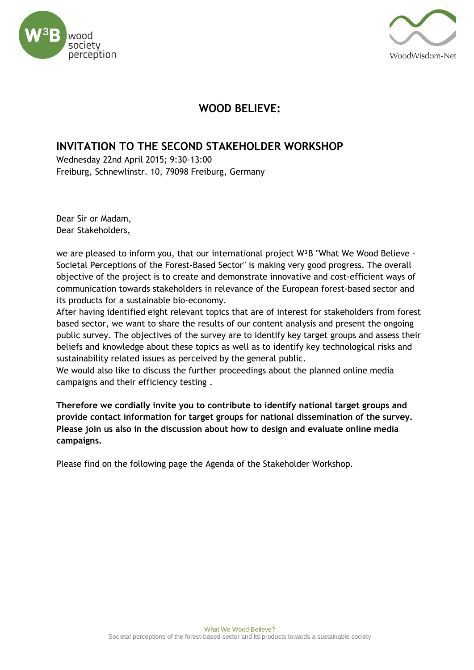



## **WOOD BELIEVE:**

## **INVITATION TO THE SECOND STAKEHOLDER WORKSHOP**

Wednesday 22nd April 2015; 9:30-13:00 Freiburg, Schnewlinstr. 10, 79098 Freiburg, Germany

Dear Sir or Madam, Dear Stakeholders,

we are pleased to inform you, that our international project  $W^3B$  "What We Wood Believe -Societal Perceptions of the Forest-Based Sector" is making very good progress. The overall objective of the project is to create and demonstrate innovative and cost-efficient ways of communication towards stakeholders in relevance of the European forest-based sector and its products for a sustainable bio-economy.

After having identified eight relevant topics that are of interest for stakeholders from forest based sector, we want to share the results of our content analysis and present the ongoing public survey. The objectives of the survey are to identify key target groups and assess their beliefs and knowledge about these topics as well as to identify key technological risks and sustainability related issues as perceived by the general public.

We would also like to discuss the further proceedings about the planned online media campaigns and their efficiency testing .

**Therefore we cordially invite you to contribute to identify national target groups and provide contact information for target groups for national dissemination of the survey. Please join us also in the discussion about how to design and evaluate online media campaigns.**

Please find on the following page the Agenda of the Stakeholder Workshop.